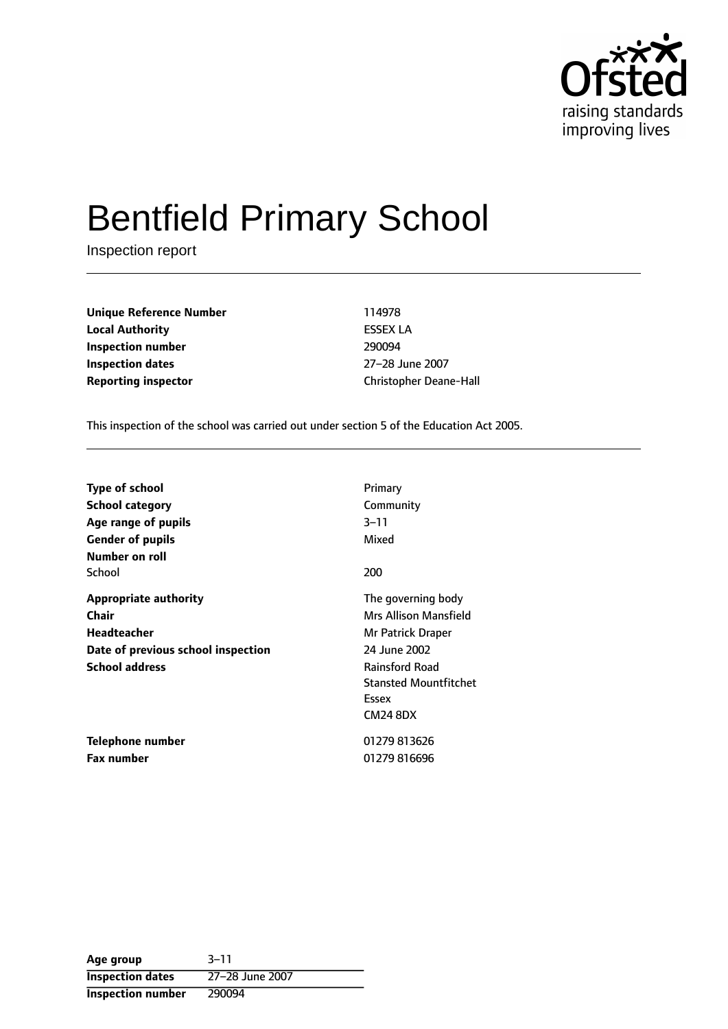

# Bentfield Primary School

Inspection report

**Unique Reference Number** 114978 **Local Authority** ESSEX LA **Inspection number** 290094 **Inspection dates** 27-28 June 2007

**Reporting inspector Christopher Deane-Hall** 

This inspection of the school was carried out under section 5 of the Education Act 2005.

| <b>Type of school</b>                                                                                               | Primary                                                                                                                                                               |
|---------------------------------------------------------------------------------------------------------------------|-----------------------------------------------------------------------------------------------------------------------------------------------------------------------|
| <b>School category</b>                                                                                              | Community                                                                                                                                                             |
| Age range of pupils                                                                                                 | $3 - 11$                                                                                                                                                              |
| <b>Gender of pupils</b>                                                                                             | Mixed                                                                                                                                                                 |
| Number on roll<br>School                                                                                            | 200                                                                                                                                                                   |
| <b>Appropriate authority</b><br>Chair<br>Headteacher<br>Date of previous school inspection<br><b>School address</b> | The governing body<br>Mrs Allison Mansfield<br>Mr Patrick Draper<br>24 June 2002<br><b>Rainsford Road</b><br><b>Stansted Mountfitchet</b><br>Essex<br><b>CM24 8DX</b> |
| Telephone number                                                                                                    | 01279813626                                                                                                                                                           |
| <b>Fax number</b>                                                                                                   | 01279816696                                                                                                                                                           |

**Age** group 3-11 **Inspection dates** 27-28 June 2007 **Inspection number** 290094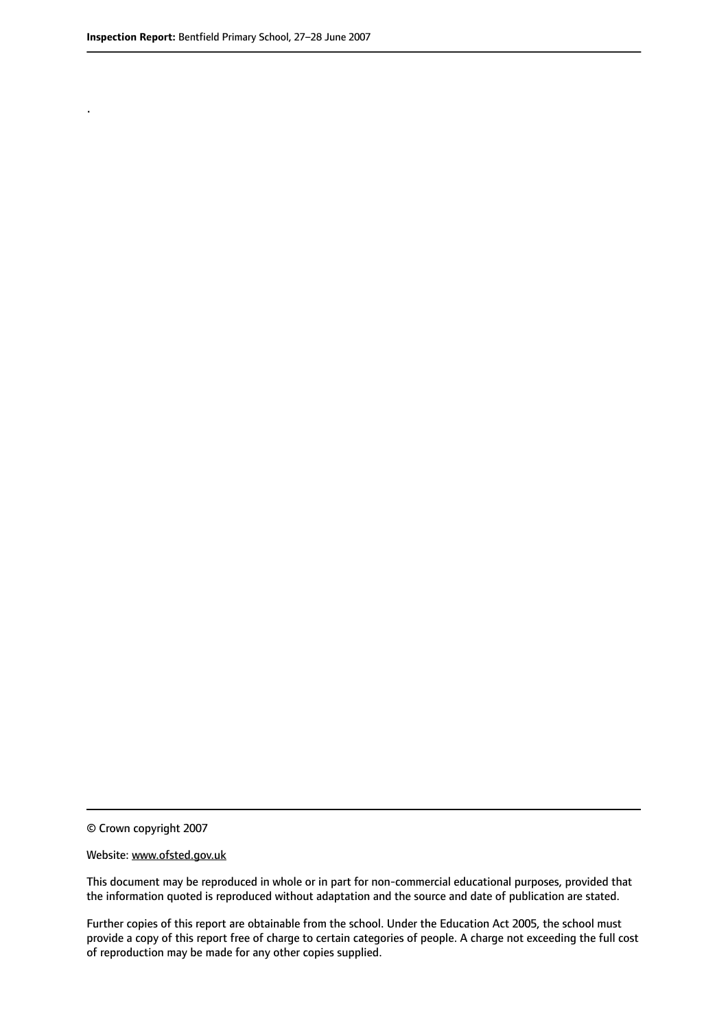.

© Crown copyright 2007

#### Website: www.ofsted.gov.uk

This document may be reproduced in whole or in part for non-commercial educational purposes, provided that the information quoted is reproduced without adaptation and the source and date of publication are stated.

Further copies of this report are obtainable from the school. Under the Education Act 2005, the school must provide a copy of this report free of charge to certain categories of people. A charge not exceeding the full cost of reproduction may be made for any other copies supplied.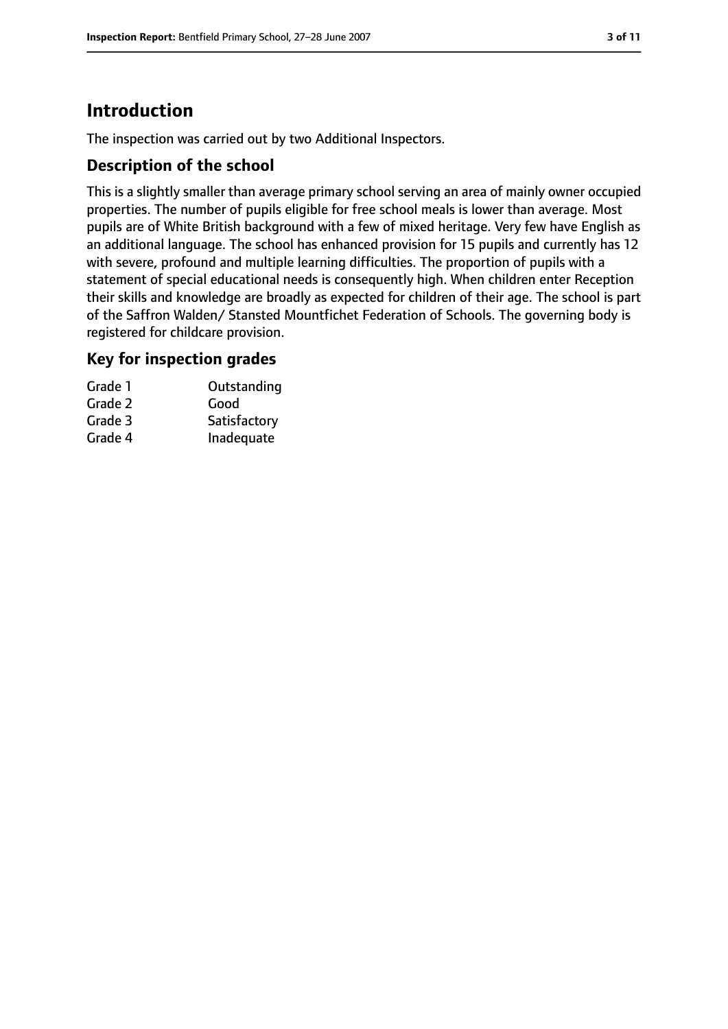## **Introduction**

The inspection was carried out by two Additional Inspectors.

#### **Description of the school**

This is a slightly smaller than average primary school serving an area of mainly owner occupied properties. The number of pupils eligible for free school meals is lower than average. Most pupils are of White British background with a few of mixed heritage. Very few have English as an additional language. The school has enhanced provision for 15 pupils and currently has 12 with severe, profound and multiple learning difficulties. The proportion of pupils with a statement of special educational needs is consequently high. When children enter Reception their skills and knowledge are broadly as expected for children of their age. The school is part of the Saffron Walden/ Stansted Mountfichet Federation of Schools. The governing body is registered for childcare provision.

#### **Key for inspection grades**

| Outstanding  |
|--------------|
| Good         |
| Satisfactory |
| Inadequate   |
|              |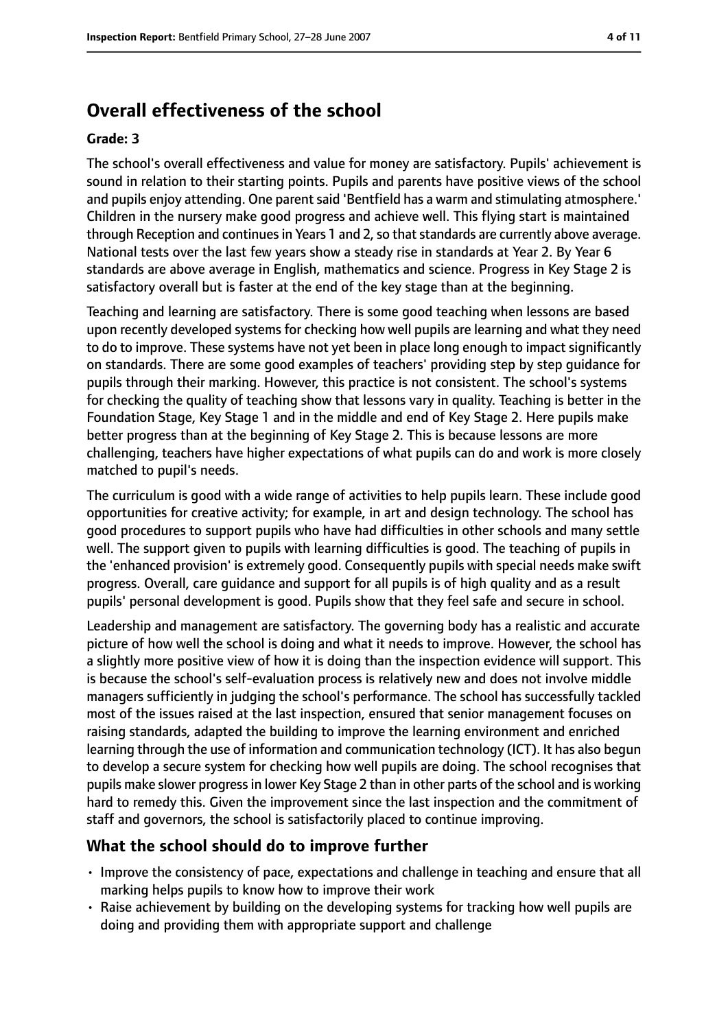## **Overall effectiveness of the school**

#### **Grade: 3**

The school's overall effectiveness and value for money are satisfactory. Pupils' achievement is sound in relation to their starting points. Pupils and parents have positive views of the school and pupils enjoy attending. One parent said 'Bentfield has a warm and stimulating atmosphere.' Children in the nursery make good progress and achieve well. This flying start is maintained through Reception and continues in Years 1 and 2, so that standards are currently above average. National tests over the last few years show a steady rise in standards at Year 2. By Year 6 standards are above average in English, mathematics and science. Progress in Key Stage 2 is satisfactory overall but is faster at the end of the key stage than at the beginning.

Teaching and learning are satisfactory. There is some good teaching when lessons are based upon recently developed systems for checking how well pupils are learning and what they need to do to improve. These systems have not yet been in place long enough to impact significantly on standards. There are some good examples of teachers' providing step by step guidance for pupils through their marking. However, this practice is not consistent. The school's systems for checking the quality of teaching show that lessons vary in quality. Teaching is better in the Foundation Stage, Key Stage 1 and in the middle and end of Key Stage 2. Here pupils make better progress than at the beginning of Key Stage 2. This is because lessons are more challenging, teachers have higher expectations of what pupils can do and work is more closely matched to pupil's needs.

The curriculum is good with a wide range of activities to help pupils learn. These include good opportunities for creative activity; for example, in art and design technology. The school has good procedures to support pupils who have had difficulties in other schools and many settle well. The support given to pupils with learning difficulties is good. The teaching of pupils in the 'enhanced provision' is extremely good. Consequently pupils with special needs make swift progress. Overall, care guidance and support for all pupils is of high quality and as a result pupils' personal development is good. Pupils show that they feel safe and secure in school.

Leadership and management are satisfactory. The governing body has a realistic and accurate picture of how well the school is doing and what it needs to improve. However, the school has a slightly more positive view of how it is doing than the inspection evidence will support. This is because the school's self-evaluation process is relatively new and does not involve middle managers sufficiently in judging the school's performance. The school has successfully tackled most of the issues raised at the last inspection, ensured that senior management focuses on raising standards, adapted the building to improve the learning environment and enriched learning through the use of information and communication technology (ICT). It has also begun to develop a secure system for checking how well pupils are doing. The school recognises that pupils make slower progressin lower Key Stage 2 than in other parts of the school and is working hard to remedy this. Given the improvement since the last inspection and the commitment of staff and governors, the school is satisfactorily placed to continue improving.

#### **What the school should do to improve further**

- Improve the consistency of pace, expectations and challenge in teaching and ensure that all marking helps pupils to know how to improve their work
- Raise achievement by building on the developing systems for tracking how well pupils are doing and providing them with appropriate support and challenge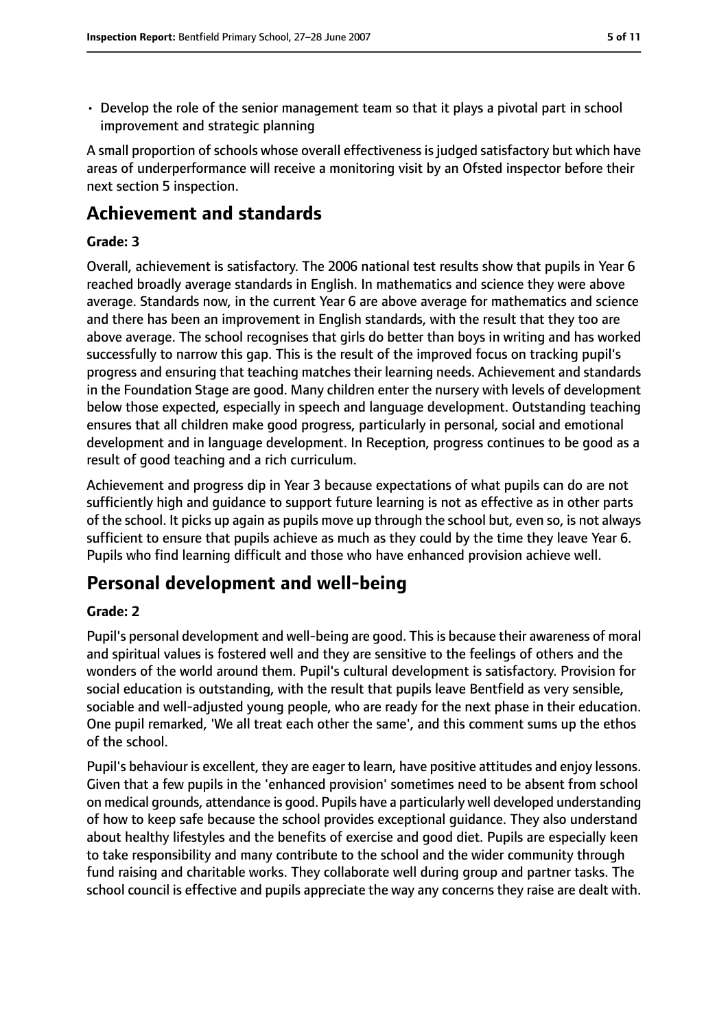• Develop the role of the senior management team so that it plays a pivotal part in school improvement and strategic planning

A small proportion of schools whose overall effectiveness is judged satisfactory but which have areas of underperformance will receive a monitoring visit by an Ofsted inspector before their next section 5 inspection.

## **Achievement and standards**

#### **Grade: 3**

Overall, achievement is satisfactory. The 2006 national test results show that pupils in Year 6 reached broadly average standards in English. In mathematics and science they were above average. Standards now, in the current Year 6 are above average for mathematics and science and there has been an improvement in English standards, with the result that they too are above average. The school recognises that girls do better than boys in writing and has worked successfully to narrow this gap. This is the result of the improved focus on tracking pupil's progress and ensuring that teaching matches their learning needs. Achievement and standards in the Foundation Stage are good. Many children enter the nursery with levels of development below those expected, especially in speech and language development. Outstanding teaching ensures that all children make good progress, particularly in personal, social and emotional development and in language development. In Reception, progress continues to be good as a result of good teaching and a rich curriculum.

Achievement and progress dip in Year 3 because expectations of what pupils can do are not sufficiently high and guidance to support future learning is not as effective as in other parts of the school. It picks up again as pupils move up through the school but, even so, is not always sufficient to ensure that pupils achieve as much as they could by the time they leave Year 6. Pupils who find learning difficult and those who have enhanced provision achieve well.

## **Personal development and well-being**

#### **Grade: 2**

Pupil's personal development and well-being are good. This is because their awareness of moral and spiritual values is fostered well and they are sensitive to the feelings of others and the wonders of the world around them. Pupil's cultural development is satisfactory. Provision for social education is outstanding, with the result that pupils leave Bentfield as very sensible, sociable and well-adjusted young people, who are ready for the next phase in their education. One pupil remarked, 'We all treat each other the same', and this comment sums up the ethos of the school.

Pupil's behaviour is excellent, they are eager to learn, have positive attitudes and enjoy lessons. Given that a few pupils in the 'enhanced provision' sometimes need to be absent from school on medical grounds, attendance is good. Pupils have a particularly well developed understanding of how to keep safe because the school provides exceptional guidance. They also understand about healthy lifestyles and the benefits of exercise and good diet. Pupils are especially keen to take responsibility and many contribute to the school and the wider community through fund raising and charitable works. They collaborate well during group and partner tasks. The school council is effective and pupils appreciate the way any concerns they raise are dealt with.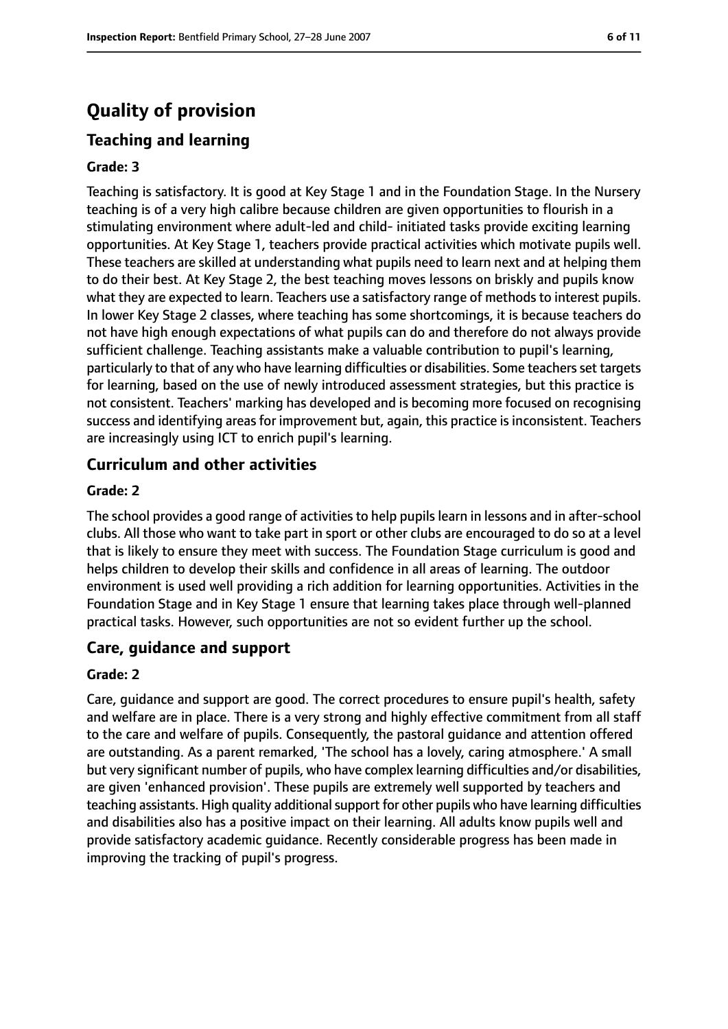## **Quality of provision**

## **Teaching and learning**

#### **Grade: 3**

Teaching is satisfactory. It is good at Key Stage 1 and in the Foundation Stage. In the Nursery teaching is of a very high calibre because children are given opportunities to flourish in a stimulating environment where adult-led and child- initiated tasks provide exciting learning opportunities. At Key Stage 1, teachers provide practical activities which motivate pupils well. These teachers are skilled at understanding what pupils need to learn next and at helping them to do their best. At Key Stage 2, the best teaching moves lessons on briskly and pupils know what they are expected to learn. Teachers use a satisfactory range of methods to interest pupils. In lower Key Stage 2 classes, where teaching has some shortcomings, it is because teachers do not have high enough expectations of what pupils can do and therefore do not always provide sufficient challenge. Teaching assistants make a valuable contribution to pupil's learning, particularly to that of any who have learning difficulties or disabilities. Some teachers set targets for learning, based on the use of newly introduced assessment strategies, but this practice is not consistent. Teachers' marking has developed and is becoming more focused on recognising success and identifying areas for improvement but, again, this practice is inconsistent. Teachers are increasingly using ICT to enrich pupil's learning.

#### **Curriculum and other activities**

#### **Grade: 2**

The school provides a good range of activities to help pupils learn in lessons and in after-school clubs. All those who want to take part in sport or other clubs are encouraged to do so at a level that is likely to ensure they meet with success. The Foundation Stage curriculum is good and helps children to develop their skills and confidence in all areas of learning. The outdoor environment is used well providing a rich addition for learning opportunities. Activities in the Foundation Stage and in Key Stage 1 ensure that learning takes place through well-planned practical tasks. However, such opportunities are not so evident further up the school.

#### **Care, guidance and support**

#### **Grade: 2**

Care, guidance and support are good. The correct procedures to ensure pupil's health, safety and welfare are in place. There is a very strong and highly effective commitment from all staff to the care and welfare of pupils. Consequently, the pastoral guidance and attention offered are outstanding. As a parent remarked, 'The school has a lovely, caring atmosphere.' A small but very significant number of pupils, who have complex learning difficulties and/or disabilities, are given 'enhanced provision'. These pupils are extremely well supported by teachers and teaching assistants. High quality additional support for other pupils who have learning difficulties and disabilities also has a positive impact on their learning. All adults know pupils well and provide satisfactory academic guidance. Recently considerable progress has been made in improving the tracking of pupil's progress.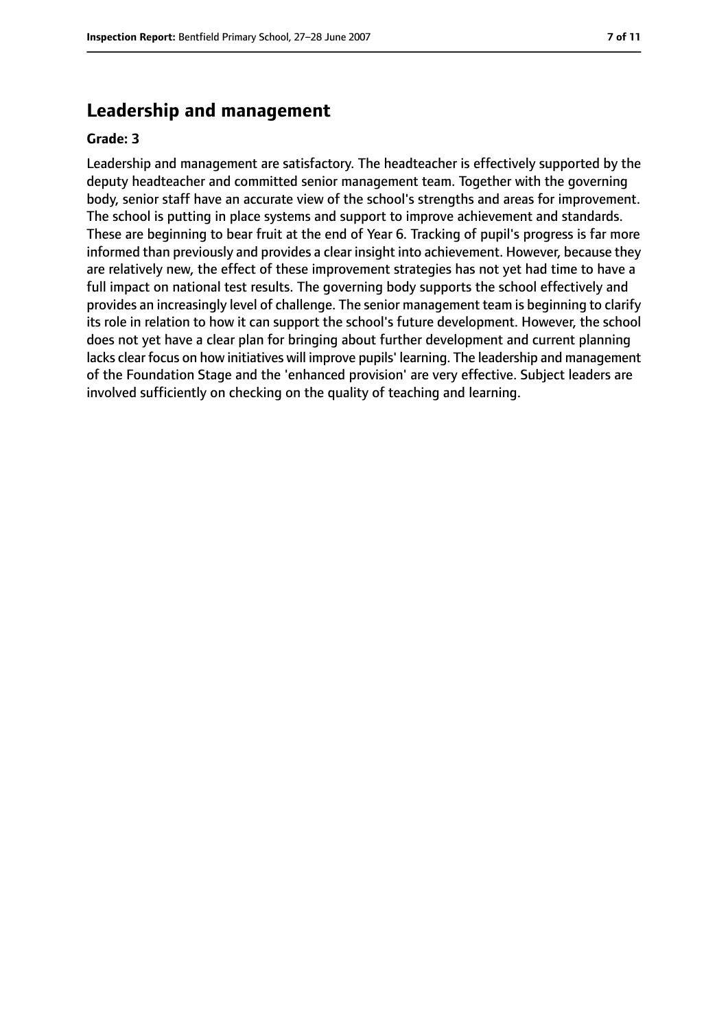## **Leadership and management**

#### **Grade: 3**

Leadership and management are satisfactory. The headteacher is effectively supported by the deputy headteacher and committed senior management team. Together with the governing body, senior staff have an accurate view of the school's strengths and areas for improvement. The school is putting in place systems and support to improve achievement and standards. These are beginning to bear fruit at the end of Year 6. Tracking of pupil's progress is far more informed than previously and provides a clear insight into achievement. However, because they are relatively new, the effect of these improvement strategies has not yet had time to have a full impact on national test results. The governing body supports the school effectively and provides an increasingly level of challenge. The senior management team is beginning to clarify its role in relation to how it can support the school's future development. However, the school does not yet have a clear plan for bringing about further development and current planning lacks clear focus on how initiatives will improve pupils' learning. The leadership and management of the Foundation Stage and the 'enhanced provision' are very effective. Subject leaders are involved sufficiently on checking on the quality of teaching and learning.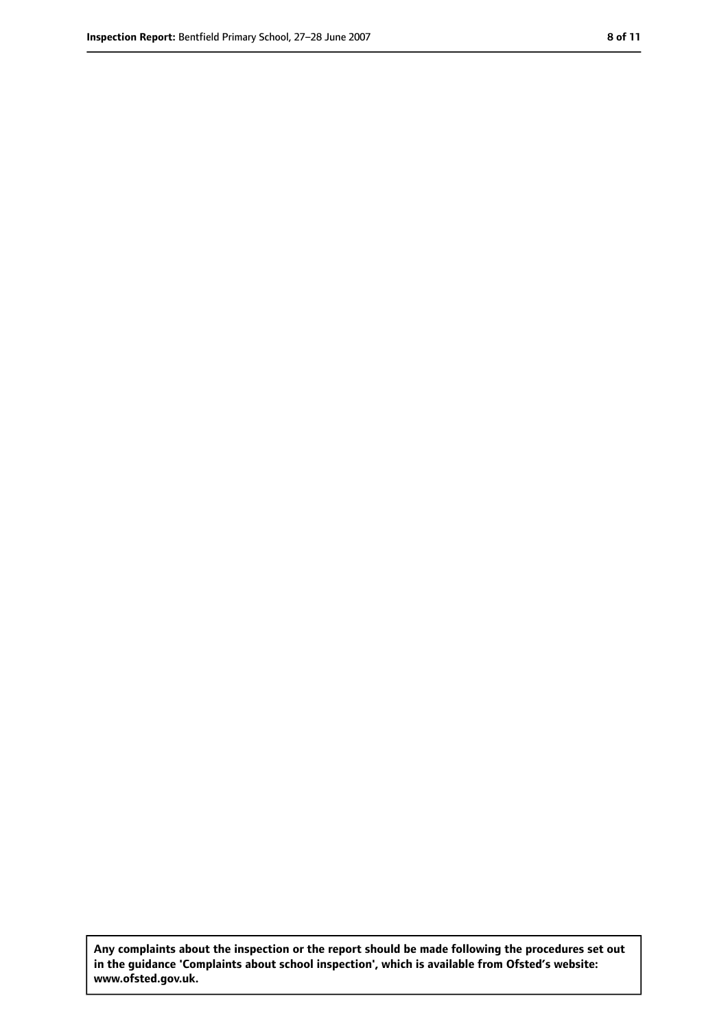**Any complaints about the inspection or the report should be made following the procedures set out in the guidance 'Complaints about school inspection', which is available from Ofsted's website: www.ofsted.gov.uk.**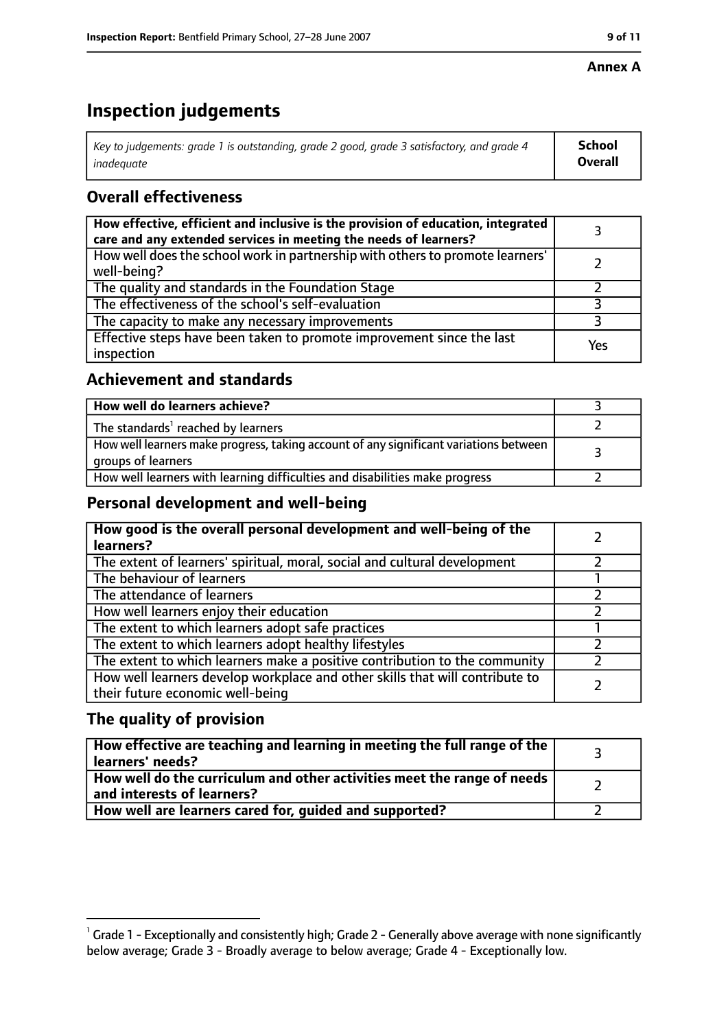#### **Annex A**

## **Inspection judgements**

| Key to judgements: grade 1 is outstanding, grade 2 good, grade 3 satisfactory, and grade 4 $\,$ | <b>School</b>  |
|-------------------------------------------------------------------------------------------------|----------------|
| inadequate                                                                                      | <b>Overall</b> |

### **Overall effectiveness**

| How effective, efficient and inclusive is the provision of education, integrated<br>care and any extended services in meeting the needs of learners? |     |
|------------------------------------------------------------------------------------------------------------------------------------------------------|-----|
| How well does the school work in partnership with others to promote learners'<br>well-being?                                                         |     |
| The quality and standards in the Foundation Stage                                                                                                    |     |
| The effectiveness of the school's self-evaluation                                                                                                    |     |
| The capacity to make any necessary improvements                                                                                                      |     |
| Effective steps have been taken to promote improvement since the last<br>inspection                                                                  | Yes |

#### **Achievement and standards**

| How well do learners achieve?                                                                               |  |
|-------------------------------------------------------------------------------------------------------------|--|
| The standards <sup>1</sup> reached by learners                                                              |  |
| How well learners make progress, taking account of any significant variations between<br>groups of learners |  |
| How well learners with learning difficulties and disabilities make progress                                 |  |

#### **Personal development and well-being**

| How good is the overall personal development and well-being of the<br>learners?                                  |  |
|------------------------------------------------------------------------------------------------------------------|--|
| The extent of learners' spiritual, moral, social and cultural development                                        |  |
| The behaviour of learners                                                                                        |  |
| The attendance of learners                                                                                       |  |
| How well learners enjoy their education                                                                          |  |
| The extent to which learners adopt safe practices                                                                |  |
| The extent to which learners adopt healthy lifestyles                                                            |  |
| The extent to which learners make a positive contribution to the community                                       |  |
| How well learners develop workplace and other skills that will contribute to<br>their future economic well-being |  |

#### **The quality of provision**

| How effective are teaching and learning in meeting the full range of the<br>learners' needs?          |  |
|-------------------------------------------------------------------------------------------------------|--|
| How well do the curriculum and other activities meet the range of needs<br>and interests of learners? |  |
| How well are learners cared for, quided and supported?                                                |  |

 $^1$  Grade 1 - Exceptionally and consistently high; Grade 2 - Generally above average with none significantly below average; Grade 3 - Broadly average to below average; Grade 4 - Exceptionally low.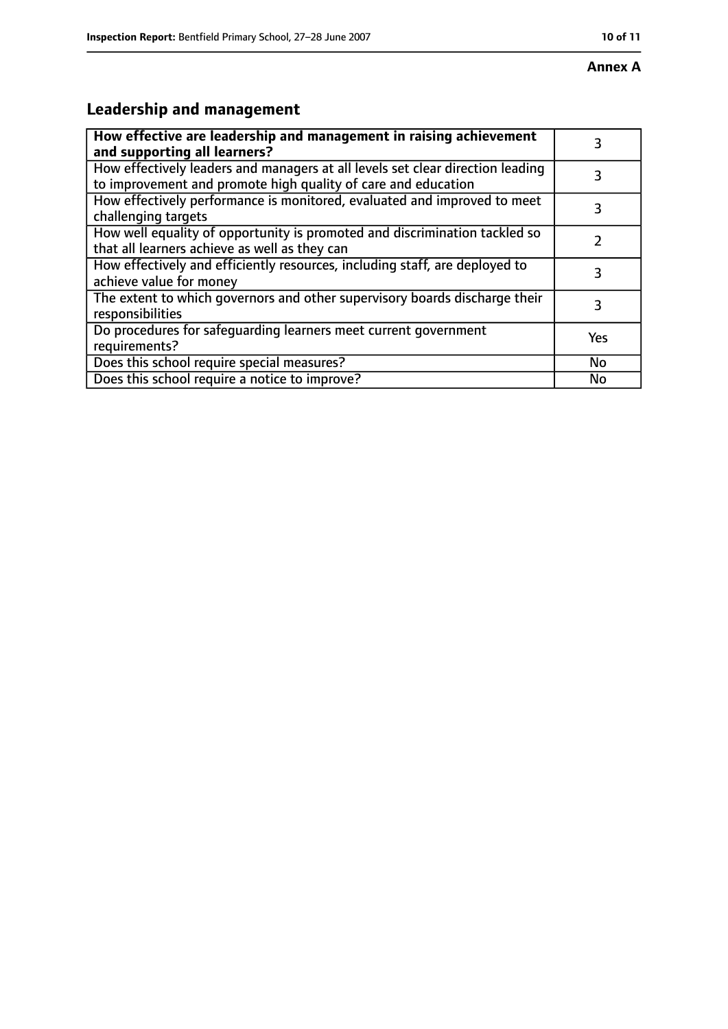## **Leadership and management**

| How effective are leadership and management in raising achievement<br>and supporting all learners?                                              | 3   |
|-------------------------------------------------------------------------------------------------------------------------------------------------|-----|
| How effectively leaders and managers at all levels set clear direction leading<br>to improvement and promote high quality of care and education |     |
| How effectively performance is monitored, evaluated and improved to meet<br>challenging targets                                                 | 3   |
| How well equality of opportunity is promoted and discrimination tackled so<br>that all learners achieve as well as they can                     |     |
| How effectively and efficiently resources, including staff, are deployed to<br>achieve value for money                                          | 3   |
| The extent to which governors and other supervisory boards discharge their<br>responsibilities                                                  | 3   |
| Do procedures for safequarding learners meet current government<br>requirements?                                                                | Yes |
| Does this school require special measures?                                                                                                      | No  |
| Does this school require a notice to improve?                                                                                                   | No  |